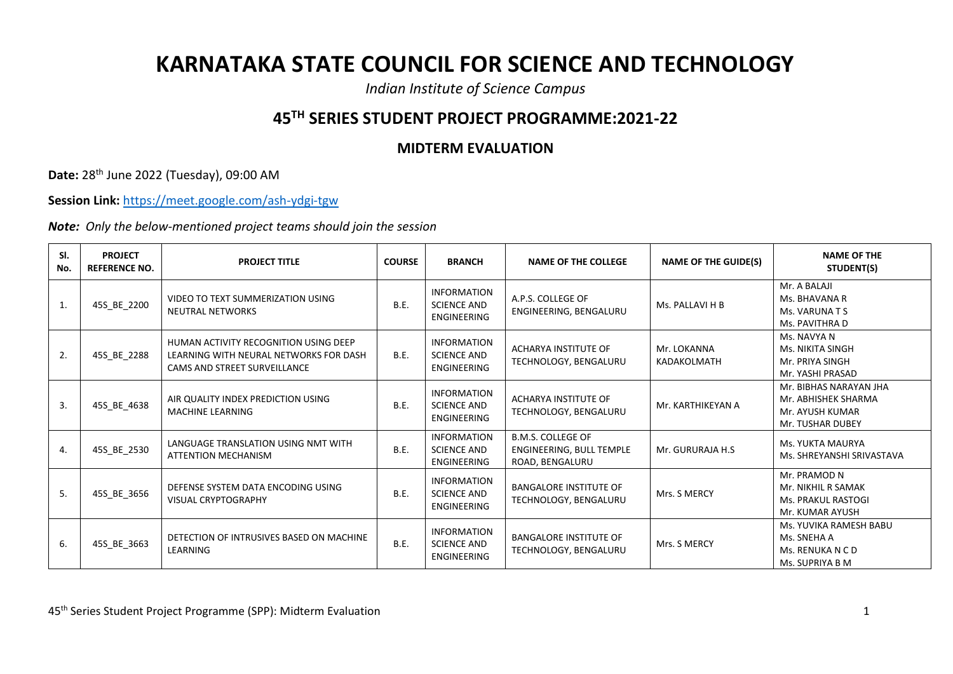## **KARNATAKA STATE COUNCIL FOR SCIENCE AND TECHNOLOGY**

*Indian Institute of Science Campus*

## **45TH SERIES STUDENT PROJECT PROGRAMME:2021-22**

## **MIDTERM EVALUATION**

**Date:** 28th June 2022 (Tuesday), 09:00 AM

**Session Link:** <https://meet.google.com/ash-ydgi-tgw>

*Note: Only the below-mentioned project teams should join the session*

| SI.<br>No. | <b>PROJECT</b><br><b>REFERENCE NO.</b> | <b>PROJECT TITLE</b>                                                                                                   | <b>COURSE</b> | <b>BRANCH</b>                                                  | <b>NAME OF THE COLLEGE</b>                                              | <b>NAME OF THE GUIDE(S)</b> | <b>NAME OF THE</b><br>STUDENT(S)                                                     |
|------------|----------------------------------------|------------------------------------------------------------------------------------------------------------------------|---------------|----------------------------------------------------------------|-------------------------------------------------------------------------|-----------------------------|--------------------------------------------------------------------------------------|
| 1.         | 45S_BE_2200                            | VIDEO TO TEXT SUMMERIZATION USING<br><b>NEUTRAL NETWORKS</b>                                                           | B.E.          | <b>INFORMATION</b><br><b>SCIENCE AND</b><br><b>ENGINEERING</b> | A.P.S. COLLEGE OF<br>ENGINEERING, BENGALURU                             | Ms. PALLAVI H B             | Mr. A BALAJI<br>Ms. BHAVANA R<br>Ms. VARUNA T S<br>Ms. PAVITHRA D                    |
| 2.         | 45S_BE_2288                            | HUMAN ACTIVITY RECOGNITION USING DEEP<br>LEARNING WITH NEURAL NETWORKS FOR DASH<br><b>CAMS AND STREET SURVEILLANCE</b> | <b>B.E.</b>   | INFORMATION<br><b>SCIENCE AND</b><br>ENGINEERING               | ACHARYA INSTITUTE OF<br>TECHNOLOGY, BENGALURU                           | Mr. LOKANNA<br>KADAKOLMATH  | Ms. NAVYA N<br>Ms. NIKITA SINGH<br>Mr. PRIYA SINGH<br>Mr. YASHI PRASAD               |
| 3.         | 45S_BE_4638                            | AIR QUALITY INDEX PREDICTION USING<br><b>MACHINE LEARNING</b>                                                          | <b>B.E.</b>   | <b>INFORMATION</b><br><b>SCIENCE AND</b><br>ENGINEERING        | ACHARYA INSTITUTE OF<br>TECHNOLOGY, BENGALURU                           | Mr. KARTHIKEYAN A           | Mr. BIBHAS NARAYAN JHA<br>Mr. ABHISHEK SHARMA<br>Mr. AYUSH KUMAR<br>Mr. TUSHAR DUBEY |
| 4.         | 45S BE 2530                            | LANGUAGE TRANSLATION USING NMT WITH<br><b>ATTENTION MECHANISM</b>                                                      | B.E.          | <b>INFORMATION</b><br>SCIENCE AND<br><b>ENGINEERING</b>        | <b>B.M.S. COLLEGE OF</b><br>ENGINEERING, BULL TEMPLE<br>ROAD, BENGALURU | Mr. GURURAJA H.S            | Ms. YUKTA MAURYA<br>Ms. SHREYANSHI SRIVASTAVA                                        |
| 5.         | 45S BE 3656                            | DEFENSE SYSTEM DATA ENCODING USING<br><b>VISUAL CRYPTOGRAPHY</b>                                                       | <b>B.E.</b>   | <b>INFORMATION</b><br><b>SCIENCE AND</b><br><b>ENGINEERING</b> | <b>BANGALORE INSTITUTE OF</b><br>TECHNOLOGY, BENGALURU                  | Mrs. S MERCY                | Mr. PRAMOD N<br>Mr. NIKHIL R SAMAK<br><b>Ms. PRAKUL RASTOGI</b><br>Mr. KUMAR AYUSH   |
| 6.         | 45S BE 3663                            | DETECTION OF INTRUSIVES BASED ON MACHINE<br>LEARNING                                                                   | <b>B.E.</b>   | <b>INFORMATION</b><br><b>SCIENCE AND</b><br><b>ENGINEERING</b> | <b>BANGALORE INSTITUTE OF</b><br>TECHNOLOGY, BENGALURU                  | Mrs. S MERCY                | Ms. YUVIKA RAMESH BABU<br>Ms. SNEHA A<br>Ms. RENUKA N C D<br>Ms. SUPRIYA B M         |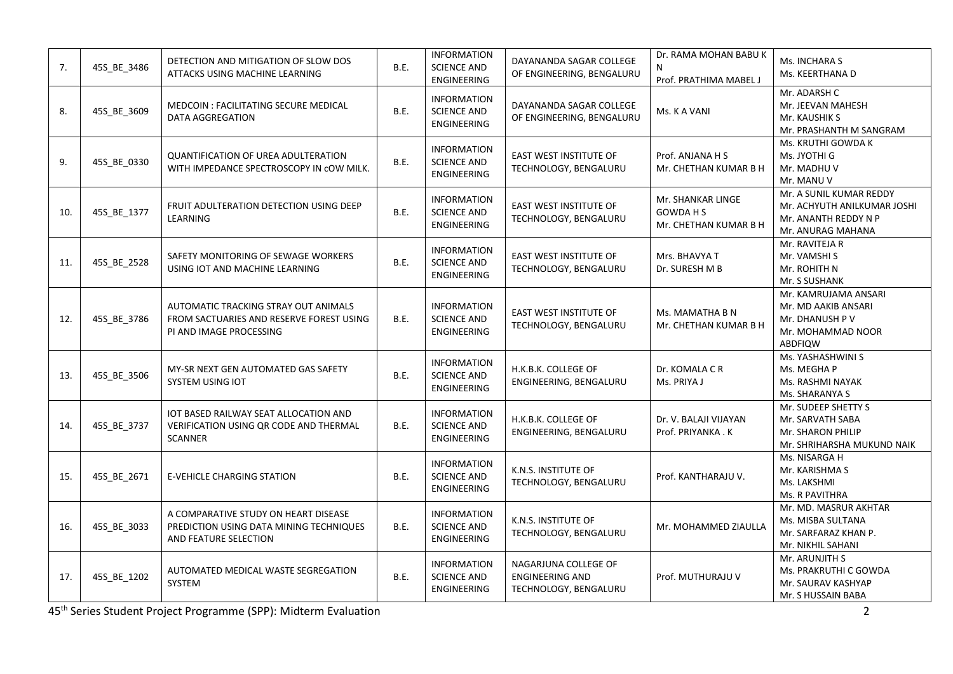| 7.  | 45S_BE_3486 | DETECTION AND MITIGATION OF SLOW DOS<br>ATTACKS USING MACHINE LEARNING                                      | B.E.        | <b>INFORMATION</b><br><b>SCIENCE AND</b><br>ENGINEERING        | DAYANANDA SAGAR COLLEGE<br>OF ENGINEERING, BENGALURU                    | Dr. RAMA MOHAN BABU K<br>N<br>Prof. PRATHIMA MABEL J         | Ms. INCHARA S<br>Ms. KEERTHANA D                                                                    |
|-----|-------------|-------------------------------------------------------------------------------------------------------------|-------------|----------------------------------------------------------------|-------------------------------------------------------------------------|--------------------------------------------------------------|-----------------------------------------------------------------------------------------------------|
| 8.  | 45S_BE_3609 | MEDCOIN : FACILITATING SECURE MEDICAL<br><b>DATA AGGREGATION</b>                                            | B.E.        | <b>INFORMATION</b><br><b>SCIENCE AND</b><br><b>ENGINEERING</b> | DAYANANDA SAGAR COLLEGE<br>OF ENGINEERING, BENGALURU                    | Ms. K A VANI                                                 | Mr. ADARSH C<br>Mr. JEEVAN MAHESH<br>Mr. KAUSHIK S<br>Mr. PRASHANTH M SANGRAM                       |
| 9.  | 45S_BE_0330 | <b>QUANTIFICATION OF UREA ADULTERATION</b><br>WITH IMPEDANCE SPECTROSCOPY IN COW MILK.                      | B.E.        | <b>INFORMATION</b><br><b>SCIENCE AND</b><br>ENGINEERING        | EAST WEST INSTITUTE OF<br>TECHNOLOGY, BENGALURU                         | Prof. ANJANA H S<br>Mr. CHETHAN KUMAR B H                    | Ms. KRUTHI GOWDA K<br>Ms. JYOTHI G<br>Mr. MADHU V<br>Mr. MANU V                                     |
| 10. | 45S_BE_1377 | FRUIT ADULTERATION DETECTION USING DEEP<br>LEARNING                                                         | B.E.        | <b>INFORMATION</b><br><b>SCIENCE AND</b><br>ENGINEERING        | EAST WEST INSTITUTE OF<br>TECHNOLOGY, BENGALURU                         | Mr. SHANKAR LINGE<br><b>GOWDAHS</b><br>Mr. CHETHAN KUMAR B H | Mr. A SUNIL KUMAR REDDY<br>Mr. ACHYUTH ANILKUMAR JOSHI<br>Mr. ANANTH REDDY N P<br>Mr. ANURAG MAHANA |
| 11. | 45S_BE_2528 | SAFETY MONITORING OF SEWAGE WORKERS<br>USING IOT AND MACHINE LEARNING                                       | B.E.        | <b>INFORMATION</b><br><b>SCIENCE AND</b><br><b>ENGINEERING</b> | <b>EAST WEST INSTITUTE OF</b><br>TECHNOLOGY, BENGALURU                  | Mrs. BHAVYA T<br>Dr. SURESH M B                              | Mr. RAVITEJA R<br>Mr. VAMSHI S<br>Mr. ROHITH N<br>Mr. S SUSHANK                                     |
| 12. | 45S_BE_3786 | AUTOMATIC TRACKING STRAY OUT ANIMALS<br>FROM SACTUARIES AND RESERVE FOREST USING<br>PI AND IMAGE PROCESSING | B.E.        | <b>INFORMATION</b><br><b>SCIENCE AND</b><br><b>ENGINEERING</b> | EAST WEST INSTITUTE OF<br>TECHNOLOGY, BENGALURU                         | Ms. MAMATHA B N<br>Mr. CHETHAN KUMAR B H                     | Mr. KAMRUJAMA ANSARI<br>Mr. MD AAKIB ANSARI<br>Mr. DHANUSH P V<br>Mr. MOHAMMAD NOOR<br>ABDFIQW      |
| 13. | 45S_BE_3506 | MY-SR NEXT GEN AUTOMATED GAS SAFETY<br>SYSTEM USING IOT                                                     | B.E.        | <b>INFORMATION</b><br><b>SCIENCE AND</b><br>ENGINEERING        | H.K.B.K. COLLEGE OF<br>ENGINEERING, BENGALURU                           | Dr. KOMALA C R<br>Ms. PRIYA J                                | Ms. YASHASHWINI S<br>Ms. MEGHA P<br>Ms. RASHMI NAYAK<br>Ms. SHARANYA S                              |
| 14. | 45S_BE_3737 | IOT BASED RAILWAY SEAT ALLOCATION AND<br>VERIFICATION USING QR CODE AND THERMAL<br><b>SCANNER</b>           | B.E.        | <b>INFORMATION</b><br><b>SCIENCE AND</b><br><b>ENGINEERING</b> | H.K.B.K. COLLEGE OF<br>ENGINEERING, BENGALURU                           | Dr. V. BALAJI VIJAYAN<br>Prof. PRIYANKA.K                    | Mr. SUDEEP SHETTY S<br>Mr. SARVATH SABA<br>Mr. SHARON PHILIP<br>Mr. SHRIHARSHA MUKUND NAIK          |
| 15. | 45S_BE_2671 | <b>E-VEHICLE CHARGING STATION</b>                                                                           | B.E.        | <b>INFORMATION</b><br><b>SCIENCE AND</b><br><b>ENGINEERING</b> | K.N.S. INSTITUTE OF<br>TECHNOLOGY, BENGALURU                            | Prof. KANTHARAJU V.                                          | Ms. NISARGA H<br>Mr. KARISHMA S<br>Ms. LAKSHMI<br>Ms. R PAVITHRA                                    |
| 16. | 45S_BE_3033 | A COMPARATIVE STUDY ON HEART DISEASE<br>PREDICTION USING DATA MINING TECHNIQUES<br>AND FEATURE SELECTION    | <b>B.E.</b> | <b>INFORMATION</b><br><b>SCIENCE AND</b><br>ENGINEERING        | K.N.S. INSTITUTE OF<br>TECHNOLOGY, BENGALURU                            | Mr. MOHAMMED ZIAULLA                                         | Mr. MD. MASRUR AKHTAR<br>Ms. MISBA SULTANA<br>Mr. SARFARAZ KHAN P.<br>Mr. NIKHIL SAHANI             |
| 17. | 45S_BE_1202 | AUTOMATED MEDICAL WASTE SEGREGATION<br>SYSTEM                                                               | B.E.        | <b>INFORMATION</b><br><b>SCIENCE AND</b><br><b>ENGINEERING</b> | NAGARJUNA COLLEGE OF<br><b>ENGINEERING AND</b><br>TECHNOLOGY, BENGALURU | Prof. MUTHURAJU V                                            | Mr. ARUNJITH S<br>Ms. PRAKRUTHI C GOWDA<br>Mr. SAURAV KASHYAP<br>Mr. S HUSSAIN BABA                 |

45th Series Student Project Programme (SPP): Midterm Evaluation 2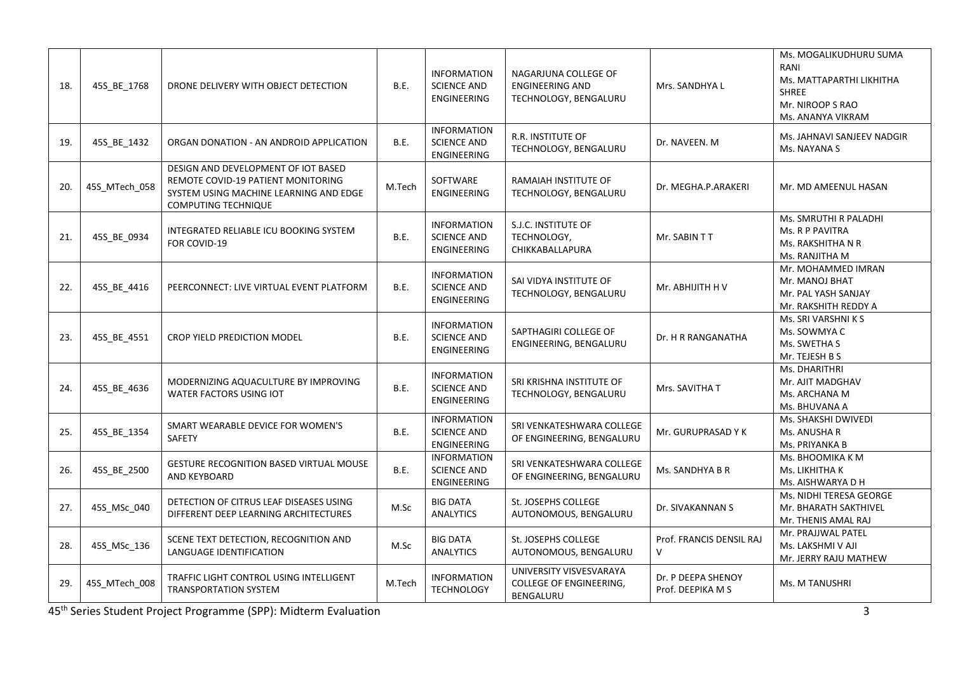| 18. | 45S_BE_1768   | DRONE DELIVERY WITH OBJECT DETECTION                                                                                                              | B.E.        | <b>INFORMATION</b><br><b>SCIENCE AND</b><br><b>ENGINEERING</b> | NAGARJUNA COLLEGE OF<br><b>ENGINEERING AND</b><br>TECHNOLOGY, BENGALURU | Mrs. SANDHYA L                          | Ms. MOGALIKUDHURU SUMA<br>RANI<br>Ms. MATTAPARTHI LIKHITHA<br><b>SHREE</b><br>Mr. NIROOP S RAO<br>Ms. ANANYA VIKRAM |
|-----|---------------|---------------------------------------------------------------------------------------------------------------------------------------------------|-------------|----------------------------------------------------------------|-------------------------------------------------------------------------|-----------------------------------------|---------------------------------------------------------------------------------------------------------------------|
| 19. | 45S_BE_1432   | ORGAN DONATION - AN ANDROID APPLICATION                                                                                                           | <b>B.E.</b> | <b>INFORMATION</b><br><b>SCIENCE AND</b><br>ENGINEERING        | <b>R.R. INSTITUTE OF</b><br>TECHNOLOGY, BENGALURU                       | Dr. NAVEEN. M                           | Ms. JAHNAVI SANJEEV NADGIR<br>Ms. NAYANA S                                                                          |
| 20. | 45S_MTech_058 | DESIGN AND DEVELOPMENT OF IOT BASED<br>REMOTE COVID-19 PATIENT MONITORING<br>SYSTEM USING MACHINE LEARNING AND EDGE<br><b>COMPUTING TECHNIQUE</b> | M.Tech      | SOFTWARE<br><b>ENGINEERING</b>                                 | RAMAIAH INSTITUTE OF<br>TECHNOLOGY, BENGALURU                           | Dr. MEGHA.P.ARAKERI                     | Mr. MD AMEENUL HASAN                                                                                                |
| 21. | 45S_BE_0934   | INTEGRATED RELIABLE ICU BOOKING SYSTEM<br>FOR COVID-19                                                                                            | <b>B.E.</b> | <b>INFORMATION</b><br><b>SCIENCE AND</b><br>ENGINEERING        | S.J.C. INSTITUTE OF<br>TECHNOLOGY,<br>CHIKKABALLAPURA                   | Mr. SABIN TT                            | Ms. SMRUTHI R PALADHI<br>Ms. R P PAVITRA<br>Ms. RAKSHITHA N R<br>Ms. RANJITHA M                                     |
| 22. | 45S_BE_4416   | PEERCONNECT: LIVE VIRTUAL EVENT PLATFORM                                                                                                          | B.E.        | <b>INFORMATION</b><br><b>SCIENCE AND</b><br>ENGINEERING        | SAI VIDYA INSTITUTE OF<br>TECHNOLOGY, BENGALURU                         | Mr. ABHIJITH H V                        | Mr. MOHAMMED IMRAN<br>Mr. MANOJ BHAT<br>Mr. PAL YASH SANJAY<br>Mr. RAKSHITH REDDY A                                 |
| 23. | 45S_BE_4551   | CROP YIELD PREDICTION MODEL                                                                                                                       | <b>B.E.</b> | <b>INFORMATION</b><br><b>SCIENCE AND</b><br>ENGINEERING        | SAPTHAGIRI COLLEGE OF<br>ENGINEERING, BENGALURU                         | Dr. H R RANGANATHA                      | Ms. SRI VARSHNI K S<br>Ms. SOWMYA C<br>Ms. SWETHA S<br>Mr. TEJESH B S                                               |
| 24. | 45S_BE_4636   | MODERNIZING AQUACULTURE BY IMPROVING<br><b>WATER FACTORS USING IOT</b>                                                                            | B.E.        | <b>INFORMATION</b><br><b>SCIENCE AND</b><br>ENGINEERING        | SRI KRISHNA INSTITUTE OF<br>TECHNOLOGY, BENGALURU                       | Mrs. SAVITHA T                          | Ms. DHARITHRI<br>Mr. AJIT MADGHAV<br>Ms. ARCHANA M<br>Ms. BHUVANA A                                                 |
| 25. | 45S BE 1354   | SMART WEARABLE DEVICE FOR WOMEN'S<br><b>SAFETY</b>                                                                                                | <b>B.E.</b> | <b>INFORMATION</b><br><b>SCIENCE AND</b><br>ENGINEERING        | SRI VENKATESHWARA COLLEGE<br>OF ENGINEERING, BENGALURU                  | Mr. GURUPRASAD Y K                      | Ms. SHAKSHI DWIVEDI<br>Ms. ANUSHA R<br>Ms. PRIYANKA B                                                               |
| 26. | 45S_BE_2500   | <b>GESTURE RECOGNITION BASED VIRTUAL MOUSE</b><br>AND KEYBOARD                                                                                    | B.E.        | <b>INFORMATION</b><br><b>SCIENCE AND</b><br>ENGINEERING        | SRI VENKATESHWARA COLLEGE<br>OF ENGINEERING, BENGALURU                  | Ms. SANDHYA B R                         | Ms. BHOOMIKA K M<br>Ms. LIKHITHA K<br>Ms. AISHWARYA D H                                                             |
| 27. | 45S_MSc_040   | DETECTION OF CITRUS LEAF DISEASES USING<br>DIFFERENT DEEP LEARNING ARCHITECTURES                                                                  | M.Sc        | <b>BIG DATA</b><br><b>ANALYTICS</b>                            | St. JOSEPHS COLLEGE<br>AUTONOMOUS, BENGALURU                            | Dr. SIVAKANNAN S                        | Ms. NIDHI TERESA GEORGE<br>Mr. BHARATH SAKTHIVEL<br>Mr. THENIS AMAL RAJ                                             |
| 28. | 45S_MSc_136   | SCENE TEXT DETECTION, RECOGNITION AND<br>LANGUAGE IDENTIFICATION                                                                                  | M.Sc        | <b>BIG DATA</b><br><b>ANALYTICS</b>                            | St. JOSEPHS COLLEGE<br>AUTONOMOUS, BENGALURU                            | Prof. FRANCIS DENSIL RAJ<br>V           | Mr. PRAJJWAL PATEL<br>Ms. LAKSHMI V AJI<br>Mr. JERRY RAJU MATHEW                                                    |
| 29. | 45S_MTech_008 | TRAFFIC LIGHT CONTROL USING INTELLIGENT<br><b>TRANSPORTATION SYSTEM</b>                                                                           | M.Tech      | <b>INFORMATION</b><br><b>TECHNOLOGY</b>                        | UNIVERSITY VISVESVARAYA<br><b>COLLEGE OF ENGINEERING,</b><br>BENGALURU  | Dr. P DEEPA SHENOY<br>Prof. DEEPIKA M S | Ms. M TANUSHRI                                                                                                      |

45th Series Student Project Programme (SPP): Midterm Evaluation 3